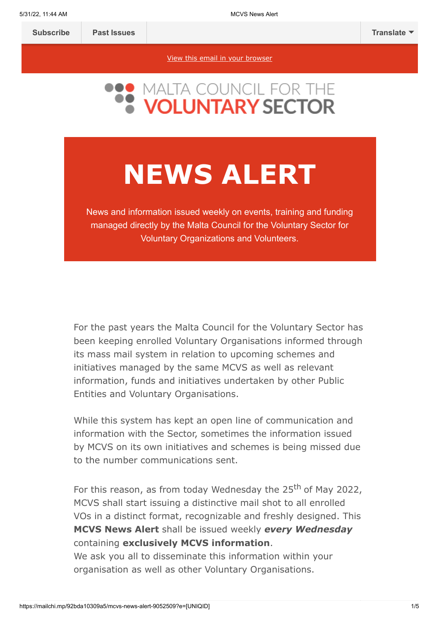[View this email in your browser](https://mailchi.mp/92bda10309a5/mcvs-news-alert-9052509?e=[UNIQID])

# **NEWS ALERT**

News and information issued weekly on events, training and funding managed directly by the Malta Council for the Voluntary Sector for Voluntary Organizations and Volunteers.

For the past years the Malta Council for the Voluntary Sector has been keeping enrolled Voluntary Organisations informed through its mass mail system in relation to upcoming schemes and initiatives managed by the same MCVS as well as relevant information, funds and initiatives undertaken by other Public Entities and Voluntary Organisations.

While this system has kept an open line of communication and information with the Sector, sometimes the information issued by MCVS on its own initiatives and schemes is being missed due to the number communications sent.

For this reason, as from today Wednesday the 25<sup>th</sup> of May 2022, MCVS shall start issuing a distinctive mail shot to all enrolled VOs in a distinct format, recognizable and freshly designed. This **MCVS News Alert** shall be issued weekly *every Wednesday* containing **exclusively MCVS information**.

We ask you all to disseminate this information within your organisation as well as other Voluntary Organisations.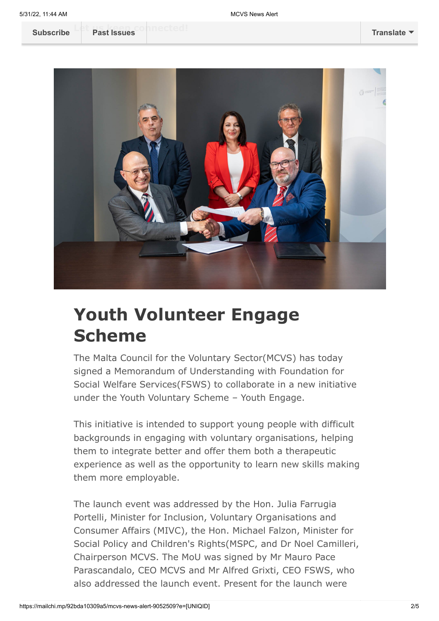

## **Youth Volunteer Engage Scheme**

The Malta Council for the Voluntary Sector(MCVS) has today signed a Memorandum of Understanding with Foundation for Social Welfare Services(FSWS) to collaborate in a new initiative under the Youth Voluntary Scheme – Youth Engage.

This initiative is intended to support young people with difficult backgrounds in engaging with voluntary organisations, helping them to integrate better and offer them both a therapeutic experience as well as the opportunity to learn new skills making them more employable.

The launch event was addressed by the Hon. Julia Farrugia Portelli, Minister for Inclusion, Voluntary Organisations and Consumer Affairs (MIVC), the Hon. Michael Falzon, Minister for Social Policy and Children's Rights(MSPC, and Dr Noel Camilleri, Chairperson MCVS. The MoU was signed by Mr Mauro Pace Parascandalo, CEO MCVS and Mr Alfred Grixti, CEO FSWS, who also addressed the launch event. Present for the launch were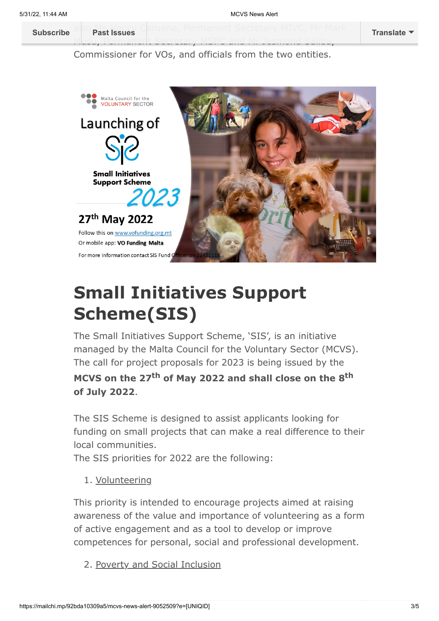al[so Ms Nancy Ca](https://us14.campaign-archive.com/home/?u=683cbfbd88de4de43adbf2d29&id=2f83d2c47d)ruana, Permanent Secretary MIVC, Mr Mark **[Subscribe](http://eepurl.com/h2Pv5b) Past Issues [Translate](javascript:;)**

> Musu, Permanent Secretary MSPC and Mr Jesmond Saliba, Commissioner for VOs, and officials from the two entities.



# **Small Initiatives Support Scheme(SIS)**

The Small Initiatives Support Scheme, 'SIS', is an initiative managed by the Malta Council for the Voluntary Sector (MCVS). The call for project proposals for 2023 is being issued by the

### **MCVS on the 27th of May 2022 and shall close on the 8th of July 2022**.

The SIS Scheme is designed to assist applicants looking for funding on small projects that can make a real difference to their local communities.

The SIS priorities for 2022 are the following:

1. Volunteering

This priority is intended to encourage projects aimed at raising awareness of the value and importance of volunteering as a form of active engagement and as a tool to develop or improve competences for personal, social and professional development.

2. Poverty and Social Inclusion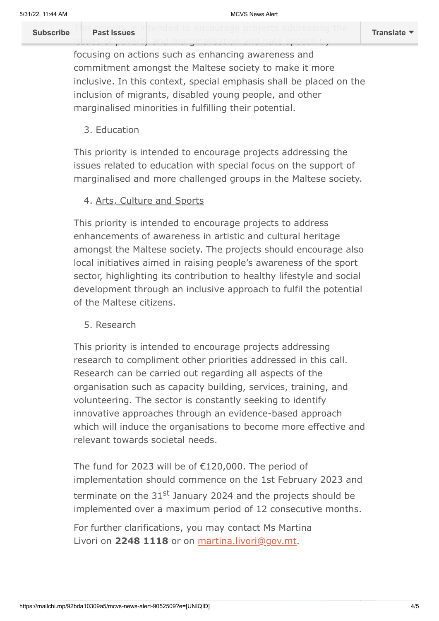This printings intended to encourage projects addressing the **[Subscribe](http://eepurl.com/h2Pv5b) Past Issues [Translate](javascript:;)**

issues of poverty and marginalisation and hate speech by

focusing on actions such as enhancing awareness and commitment amongst the Maltese society to make it more inclusive. In this context, special emphasis shall be placed on the inclusion of migrants, disabled young people, and other marginalised minorities in fulfilling their potential.

3. Education

This priority is intended to encourage projects addressing the issues related to education with special focus on the support of marginalised and more challenged groups in the Maltese society.

### 4. Arts, Culture and Sports

This priority is intended to encourage projects to address enhancements of awareness in artistic and cultural heritage amongst the Maltese society. The projects should encourage also local initiatives aimed in raising people's awareness of the sport sector, highlighting its contribution to healthy lifestyle and social development through an inclusive approach to fulfil the potential of the Maltese citizens.

#### 5. Research

This priority is intended to encourage projects addressing research to compliment other priorities addressed in this call. Research can be carried out regarding all aspects of the organisation such as capacity building, services, training, and volunteering. The sector is constantly seeking to identify innovative approaches through an evidence-based approach which will induce the organisations to become more effective and relevant towards societal needs.

The fund for 2023 will be of €120,000. The period of implementation should commence on the 1st February 2023 and terminate on the 31<sup>st</sup> January 2024 and the projects should be implemented over a maximum period of 12 consecutive months.

For further clarifications, you may contact Ms Martina Livori on **2248 1118** or on [martina.livori@gov.mt](mailto:martina.livori@gov.mt).